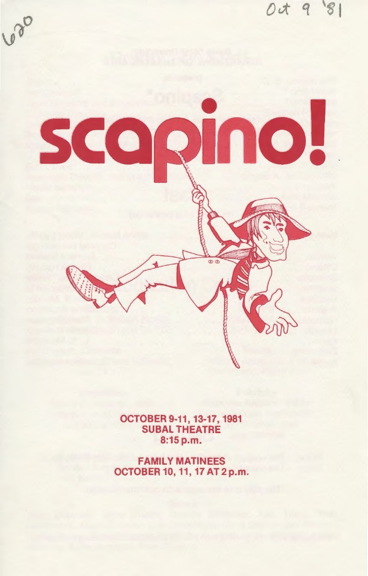

**OCTOBER 9-11, 13-17, 1981<br>SUBAL THEATRE** 8:15 p.m.

**FAMILY MATINEES** OCTOBER 10, 11, 17 AT 2 p.m.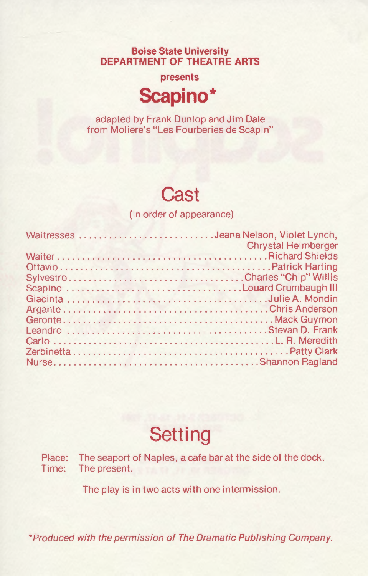**Boise State University DEPARTMENT OF THEATRE ARTS** 

**presents** 



adapted by Frank Dunlop and Jim Dale from Moliere's "Les Fourberies de Scapin"

### **Cast**

(in order of appearance)

| Waitresses Jeana Nelson, Violet Lynch, | <b>Chrystal Heimberger</b> |
|----------------------------------------|----------------------------|
|                                        |                            |
|                                        |                            |
|                                        |                            |
|                                        |                            |
|                                        |                            |
|                                        |                            |
|                                        |                            |
|                                        |                            |
|                                        |                            |
|                                        |                            |
|                                        |                            |

# **Setting**

Place: The seaport of Naples, a cafe bar at the side of the dock. Time: The present.

The play is in two acts with one intermission.

\*Produced with the permission of The Dramatic Publishing Company.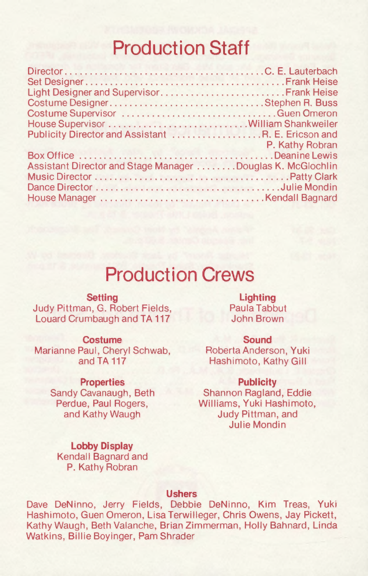### **Production Staff**

| Light Designer and Supervisor Frank Heise                  |  |
|------------------------------------------------------------|--|
|                                                            |  |
|                                                            |  |
|                                                            |  |
| Publicity Director and Assistant R. E. Ericson and         |  |
|                                                            |  |
|                                                            |  |
| Assistant Director and Stage Manager Douglas K. McGlochlin |  |
|                                                            |  |
|                                                            |  |
|                                                            |  |
|                                                            |  |

### **Production Crews**

**Setting** 

Judy Pittman, G. Robert Fields, Louard Crumbaugh and TA 117

#### **Costume**

Marianne Paul, Cheryl Schwab, and TA<sub>117</sub>

#### **Properties**

Sandy Cavanaugh, Beth Perdue, Paul Rogers, and Kathy Waugh

**Lobby Display**  Kendall Bagnard and P. Kathy Robran

#### **Lighting**  Paula Tabbut John Brown

#### **Sound**

Roberta Anderson, Yuki Hashimoto, Kathy Gill

#### **Publicity**

Shannon Ragland, Eddie Williams, Yuki Hashimoto, Judy Pittman, and Julie Mondin

#### **Ushers**

Dave DeNinno, Jerry Fields, Debbie DeNinno, Kim Treas, Yuki Hashimoto, Guen Omeron, Lisa Terwilleger, Chris Owens, Jay Pickett, Kathy Waugh, Beth Valanche, Brian Zimmerman, Holly Bahnard, Linda Watkins, Billie Boyinger, Pam Shrader